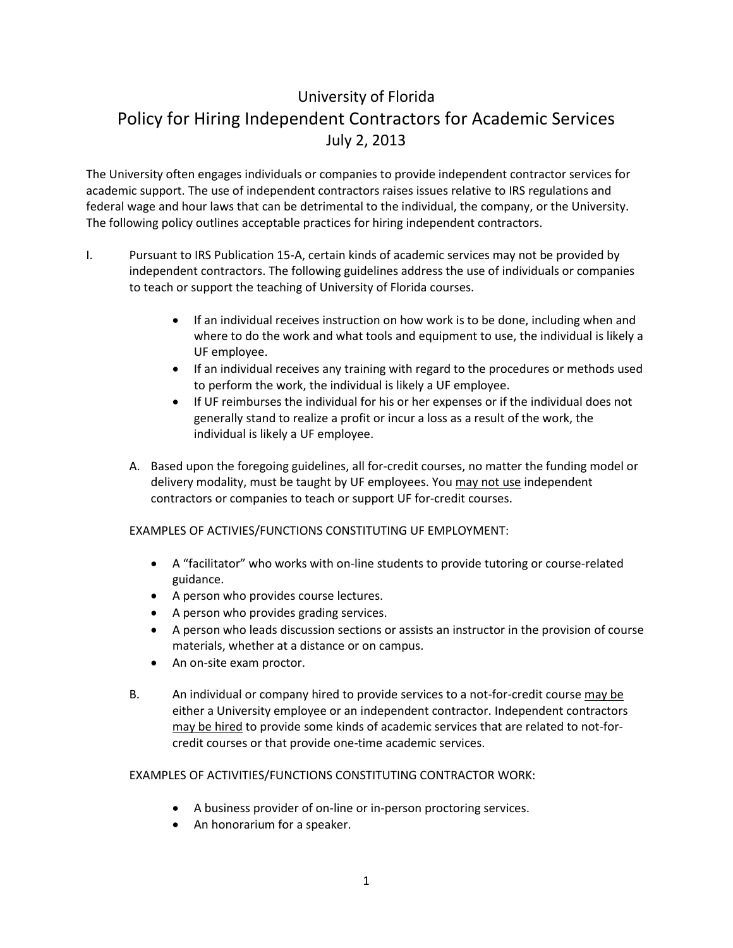## University of Florida Policy for Hiring Independent Contractors for Academic Services July 2, 2013

The University often engages individuals or companies to provide independent contractor services for academic support. The use of independent contractors raises issues relative to IRS regulations and federal wage and hour laws that can be detrimental to the individual, the company, or the University. The following policy outlines acceptable practices for hiring independent contractors.

- I. Pursuant to IRS Publication 15-A, certain kinds of academic services may not be provided by independent contractors. The following guidelines address the use of individuals or companies to teach or support the teaching of University of Florida courses.
	- If an individual receives instruction on how work is to be done, including when and where to do the work and what tools and equipment to use, the individual is likely a UF employee.
	- If an individual receives any training with regard to the procedures or methods used to perform the work, the individual is likely a UF employee.
	- If UF reimburses the individual for his or her expenses or if the individual does not generally stand to realize a profit or incur a loss as a result of the work, the individual is likely a UF employee.
	- A. Based upon the foregoing guidelines, all for-credit courses, no matter the funding model or delivery modality, must be taught by UF employees. You may not use independent contractors or companies to teach or support UF for-credit courses.

EXAMPLES OF ACTIVIES/FUNCTIONS CONSTITUTING UF EMPLOYMENT:

- A "facilitator" who works with on-line students to provide tutoring or course-related guidance.
- A person who provides course lectures.
- A person who provides grading services.
- A person who leads discussion sections or assists an instructor in the provision of course materials, whether at a distance or on campus.
- An on-site exam proctor.
- B. An individual or company hired to provide services to a not-for-credit course may be either a University employee or an independent contractor. Independent contractors may be hired to provide some kinds of academic services that are related to not-forcredit courses or that provide one-time academic services.

## EXAMPLES OF ACTIVITIES/FUNCTIONS CONSTITUTING CONTRACTOR WORK:

- A business provider of on-line or in-person proctoring services.
- An honorarium for a speaker.